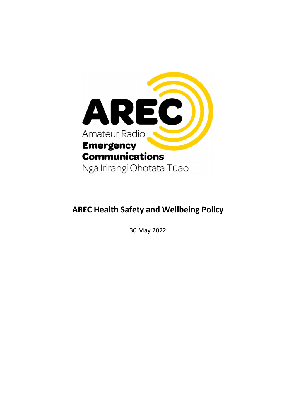

## AREC Health Safety and Wellbeing Policy

30 May 2022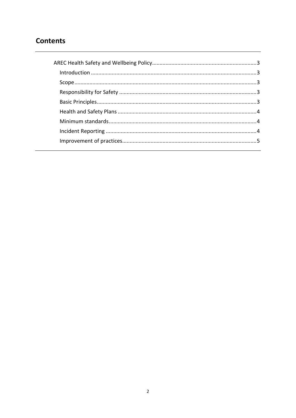## **Contents**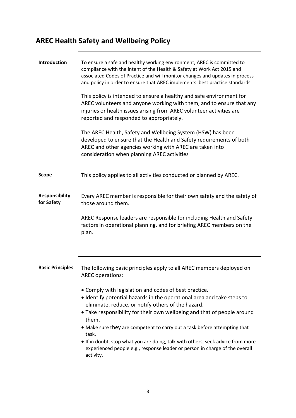## AREC Health Safety and Wellbeing Policy

| Introduction                        | To ensure a safe and healthy working environment, AREC is committed to<br>compliance with the intent of the Health & Safety at Work Act 2015 and<br>associated Codes of Practice and will monitor changes and updates in process<br>and policy in order to ensure that AREC implements best practice standards.<br>This policy is intended to ensure a healthy and safe environment for<br>AREC volunteers and anyone working with them, and to ensure that any<br>injuries or health issues arising from AREC volunteer activities are<br>reported and responded to appropriately.<br>The AREC Health, Safety and Wellbeing System (HSW) has been<br>developed to ensure that the Health and Safety requirements of both<br>AREC and other agencies working with AREC are taken into<br>consideration when planning AREC activities |
|-------------------------------------|--------------------------------------------------------------------------------------------------------------------------------------------------------------------------------------------------------------------------------------------------------------------------------------------------------------------------------------------------------------------------------------------------------------------------------------------------------------------------------------------------------------------------------------------------------------------------------------------------------------------------------------------------------------------------------------------------------------------------------------------------------------------------------------------------------------------------------------|
| <b>Scope</b>                        | This policy applies to all activities conducted or planned by AREC.                                                                                                                                                                                                                                                                                                                                                                                                                                                                                                                                                                                                                                                                                                                                                                  |
| <b>Responsibility</b><br>for Safety | Every AREC member is responsible for their own safety and the safety of<br>those around them.<br>AREC Response leaders are responsible for including Health and Safety<br>factors in operational planning, and for briefing AREC members on the<br>plan.                                                                                                                                                                                                                                                                                                                                                                                                                                                                                                                                                                             |
| <b>Basic Principles</b>             | The following basic principles apply to all AREC members deployed on<br><b>AREC</b> operations:<br>• Comply with legislation and codes of best practice.<br>• Identify potential hazards in the operational area and take steps to<br>eliminate, reduce, or notify others of the hazard.<br>• Take responsibility for their own wellbeing and that of people around<br>them.<br>• Make sure they are competent to carry out a task before attempting that<br>task.<br>• If in doubt, stop what you are doing, talk with others, seek advice from more<br>experienced people e.g., response leader or person in charge of the overall<br>activity.                                                                                                                                                                                    |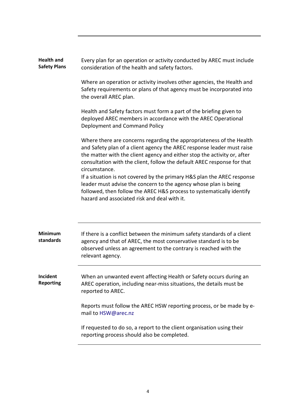| <b>Health and</b><br><b>Safety Plans</b> | Every plan for an operation or activity conducted by AREC must include<br>consideration of the health and safety factors.                                                                                                                                                                                                                                                                                                                                                                                                                                                                      |
|------------------------------------------|------------------------------------------------------------------------------------------------------------------------------------------------------------------------------------------------------------------------------------------------------------------------------------------------------------------------------------------------------------------------------------------------------------------------------------------------------------------------------------------------------------------------------------------------------------------------------------------------|
|                                          | Where an operation or activity involves other agencies, the Health and<br>Safety requirements or plans of that agency must be incorporated into<br>the overall AREC plan.                                                                                                                                                                                                                                                                                                                                                                                                                      |
|                                          | Health and Safety factors must form a part of the briefing given to<br>deployed AREC members in accordance with the AREC Operational<br>Deployment and Command Policy                                                                                                                                                                                                                                                                                                                                                                                                                          |
|                                          | Where there are concerns regarding the appropriateness of the Health<br>and Safety plan of a client agency the AREC response leader must raise<br>the matter with the client agency and either stop the activity or, after<br>consultation with the client, follow the default AREC response for that<br>circumstance.<br>If a situation is not covered by the primary H&S plan the AREC response<br>leader must advise the concern to the agency whose plan is being<br>followed, then follow the AREC H&S process to systematically identify<br>hazard and associated risk and deal with it. |
| Minimum<br>standards                     | If there is a conflict between the minimum safety standards of a client<br>agency and that of AREC, the most conservative standard is to be<br>observed unless an agreement to the contrary is reached with the<br>relevant agency.                                                                                                                                                                                                                                                                                                                                                            |
| Incident<br><b>Reporting</b>             | When an unwanted event affecting Health or Safety occurs during an<br>AREC operation, including near-miss situations, the details must be<br>reported to AREC.                                                                                                                                                                                                                                                                                                                                                                                                                                 |
|                                          | Reports must follow the AREC HSW reporting process, or be made by e-<br>mail to HSW@arec.nz                                                                                                                                                                                                                                                                                                                                                                                                                                                                                                    |
|                                          | If requested to do so, a report to the client organisation using their<br>reporting process should also be completed.                                                                                                                                                                                                                                                                                                                                                                                                                                                                          |